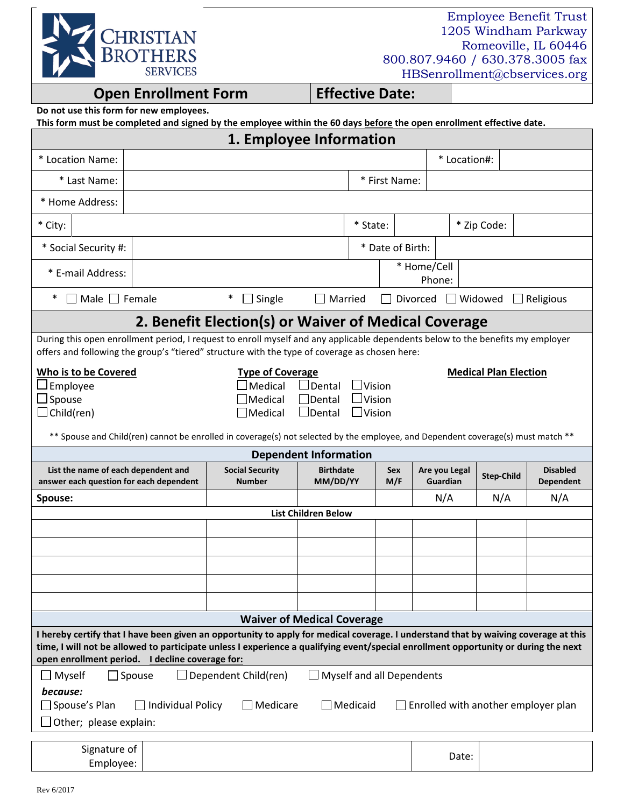

Employee Benefit Trust 1205 Windham Parkway Romeoville, IL 60446 800.807.9460 / 630.378.3005 fax HBSenrollment@cbservices.org

## **Open Enrollment Form Effective Date:**

|  |  |  |  |  |  |  |  | Do not use this form for new employees. |
|--|--|--|--|--|--|--|--|-----------------------------------------|
|--|--|--|--|--|--|--|--|-----------------------------------------|

|  |  |  |  | This form must be completed and signed by the employee within the 60 days before the open enrollment effective date. |  |
|--|--|--|--|----------------------------------------------------------------------------------------------------------------------|--|
|--|--|--|--|----------------------------------------------------------------------------------------------------------------------|--|

| 1. Employee Information                                                                                                                                                                                                                                                                                                       |  |                                                                                                                                                                                                                                                                                                                                     |  |               |            |                       |                                  |                   |  |                                     |
|-------------------------------------------------------------------------------------------------------------------------------------------------------------------------------------------------------------------------------------------------------------------------------------------------------------------------------|--|-------------------------------------------------------------------------------------------------------------------------------------------------------------------------------------------------------------------------------------------------------------------------------------------------------------------------------------|--|---------------|------------|-----------------------|----------------------------------|-------------------|--|-------------------------------------|
| * Location Name:                                                                                                                                                                                                                                                                                                              |  |                                                                                                                                                                                                                                                                                                                                     |  |               |            |                       | * Location#:                     |                   |  |                                     |
| * Last Name:                                                                                                                                                                                                                                                                                                                  |  |                                                                                                                                                                                                                                                                                                                                     |  | * First Name: |            |                       |                                  |                   |  |                                     |
| * Home Address:                                                                                                                                                                                                                                                                                                               |  |                                                                                                                                                                                                                                                                                                                                     |  |               |            |                       |                                  |                   |  |                                     |
| * City:                                                                                                                                                                                                                                                                                                                       |  |                                                                                                                                                                                                                                                                                                                                     |  | * State:      |            |                       |                                  | * Zip Code:       |  |                                     |
| * Date of Birth:<br>* Social Security #:                                                                                                                                                                                                                                                                                      |  |                                                                                                                                                                                                                                                                                                                                     |  |               |            |                       |                                  |                   |  |                                     |
| * E-mail Address:                                                                                                                                                                                                                                                                                                             |  |                                                                                                                                                                                                                                                                                                                                     |  |               |            | * Home/Cell<br>Phone: |                                  |                   |  |                                     |
| $\ast$<br>$\Box$ Male $\Box$ Female                                                                                                                                                                                                                                                                                           |  | $\ast$<br>$\Box$ Single<br>Married<br>Divorced<br>$\Box$ Widowed<br>$\Box$ Religious                                                                                                                                                                                                                                                |  |               |            |                       |                                  |                   |  |                                     |
|                                                                                                                                                                                                                                                                                                                               |  | 2. Benefit Election(s) or Waiver of Medical Coverage                                                                                                                                                                                                                                                                                |  |               |            |                       |                                  |                   |  |                                     |
|                                                                                                                                                                                                                                                                                                                               |  | During this open enrollment period, I request to enroll myself and any applicable dependents below to the benefits my employer<br>offers and following the group's "tiered" structure with the type of coverage as chosen here:                                                                                                     |  |               |            |                       |                                  |                   |  |                                     |
| Who is to be Covered<br>$\Box$ Employee<br>$\Box$ Spouse<br>$\Box$ Child(ren)                                                                                                                                                                                                                                                 |  | <b>Type of Coverage</b><br><b>Medical Plan Election</b><br>Medical<br>$\sf J$ Dental<br>$\Box$ Vision<br>$\Box$ Vision<br>Medical<br>$\Box$ Dental<br>Medical<br>$\Box$ Dental<br>$\Box$ Vision<br>** Spouse and Child(ren) cannot be enrolled in coverage(s) not selected by the employee, and Dependent coverage(s) must match ** |  |               |            |                       |                                  |                   |  |                                     |
|                                                                                                                                                                                                                                                                                                                               |  | <b>Dependent Information</b>                                                                                                                                                                                                                                                                                                        |  |               |            |                       |                                  |                   |  |                                     |
| List the name of each dependent and<br>answer each question for each dependent                                                                                                                                                                                                                                                |  | <b>Social Security</b><br><b>Birthdate</b><br>MM/DD/YY<br><b>Number</b>                                                                                                                                                                                                                                                             |  |               | Sex<br>M/F |                       | Are you Legal<br><b>Guardian</b> | <b>Step-Child</b> |  | <b>Disabled</b><br><b>Dependent</b> |
| Spouse:                                                                                                                                                                                                                                                                                                                       |  |                                                                                                                                                                                                                                                                                                                                     |  |               |            |                       | N/A                              | N/A               |  | N/A                                 |
| <b>List Children Below</b>                                                                                                                                                                                                                                                                                                    |  |                                                                                                                                                                                                                                                                                                                                     |  |               |            |                       |                                  |                   |  |                                     |
|                                                                                                                                                                                                                                                                                                                               |  |                                                                                                                                                                                                                                                                                                                                     |  |               |            |                       |                                  |                   |  |                                     |
|                                                                                                                                                                                                                                                                                                                               |  |                                                                                                                                                                                                                                                                                                                                     |  |               |            |                       |                                  |                   |  |                                     |
|                                                                                                                                                                                                                                                                                                                               |  |                                                                                                                                                                                                                                                                                                                                     |  |               |            |                       |                                  |                   |  |                                     |
|                                                                                                                                                                                                                                                                                                                               |  |                                                                                                                                                                                                                                                                                                                                     |  |               |            |                       |                                  |                   |  |                                     |
| <b>Waiver of Medical Coverage</b>                                                                                                                                                                                                                                                                                             |  |                                                                                                                                                                                                                                                                                                                                     |  |               |            |                       |                                  |                   |  |                                     |
| I hereby certify that I have been given an opportunity to apply for medical coverage. I understand that by waiving coverage at this<br>time, I will not be allowed to participate unless I experience a qualifying event/special enrollment opportunity or during the next<br>open enrollment period. I decline coverage for: |  |                                                                                                                                                                                                                                                                                                                                     |  |               |            |                       |                                  |                   |  |                                     |
| Myself and all Dependents<br>Dependent Child(ren)<br>Myself<br>$\Box$ Spouse<br>because:<br>$\Box$ Spouse's Plan<br>Individual Policy<br>$\Box$ Medicare<br>$\Box$ Medicaid<br>$\Box$ Enrolled with another employer plan<br>$\Box$ Other; please explain:                                                                    |  |                                                                                                                                                                                                                                                                                                                                     |  |               |            |                       |                                  |                   |  |                                     |
| Signature of<br>Employee:                                                                                                                                                                                                                                                                                                     |  |                                                                                                                                                                                                                                                                                                                                     |  |               |            |                       | Date:                            |                   |  |                                     |